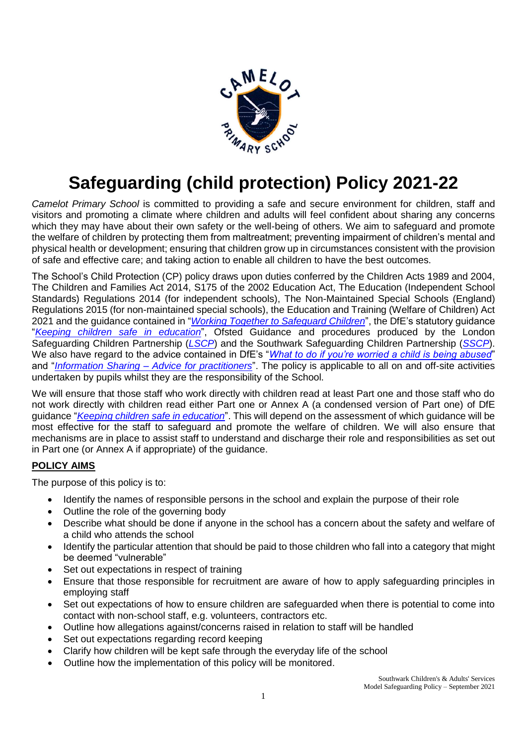

# **Safeguarding (child protection) Policy 2021-22**

*Camelot Primary School* is committed to providing a safe and secure environment for children, staff and visitors and promoting a climate where children and adults will feel confident about sharing any concerns which they may have about their own safety or the well-being of others. We aim to safeguard and promote the welfare of children by protecting them from maltreatment; preventing impairment of children's mental and physical health or development; ensuring that children grow up in circumstances consistent with the provision of safe and effective care; and taking action to enable all children to have the best outcomes.

The School's Child Protection (CP) policy draws upon duties conferred by the Children Acts 1989 and 2004, The Children and Families Act 2014, S175 of the 2002 Education Act, The Education (Independent School Standards) Regulations 2014 (for independent schools), The Non-Maintained Special Schools (England) Regulations 2015 (for non-maintained special schools), the Education and Training (Welfare of Children) Act 2021 and the guidance contained in "*[Working Together to Safeguard Children](https://www.gov.uk/government/publications/working-together-to-safeguard-children--2)*", the DfE's statutory guidance "*[Keeping children safe in education](https://www.gov.uk/government/publications/keeping-children-safe-in-education--2)*", Ofsted Guidance and procedures produced by the London Safeguarding Children Partnership (*[LSCP](http://www.londonscb.gov.uk/)*) and the Southwark Safeguarding Children Partnership (*[SSCP](http://safeguarding.southwark.gov.uk/southwark-safeguarding-board/sscp/)*). We also have regard to the advice contained in DfE's "*[What to do if you're worried a child is being abused](https://www.gov.uk/government/publications/what-to-do-if-youre-worried-a-child-is-being-abused--2)*" and "*Information Sharing – [Advice for practitioners](https://www.gov.uk/government/publications/safeguarding-practitioners-information-sharing-advice)*". The policy is applicable to all on and off-site activities undertaken by pupils whilst they are the responsibility of the School.

We will ensure that those staff who work directly with children read at least Part one and those staff who do not work directly with children read either Part one or Annex A (a condensed version of Part one) of DfE guidance "*[Keeping children safe in education](https://www.gov.uk/government/publications/keeping-children-safe-in-education--2)*". This will depend on the assessment of which guidance will be most effective for the staff to safeguard and promote the welfare of children. We will also ensure that mechanisms are in place to assist staff to understand and discharge their role and responsibilities as set out in Part one (or Annex A if appropriate) of the guidance.

# **POLICY AIMS**

The purpose of this policy is to:

- Identify the names of responsible persons in the school and explain the purpose of their role
- Outline the role of the governing body
- Describe what should be done if anyone in the school has a concern about the safety and welfare of a child who attends the school
- Identify the particular attention that should be paid to those children who fall into a category that might be deemed "vulnerable"
- Set out expectations in respect of training
- Ensure that those responsible for recruitment are aware of how to apply safeguarding principles in employing staff
- Set out expectations of how to ensure children are safeguarded when there is potential to come into contact with non-school staff, e.g. volunteers, contractors etc.
- Outline how allegations against/concerns raised in relation to staff will be handled
- Set out expectations regarding record keeping
- Clarify how children will be kept safe through the everyday life of the school
- Outline how the implementation of this policy will be monitored.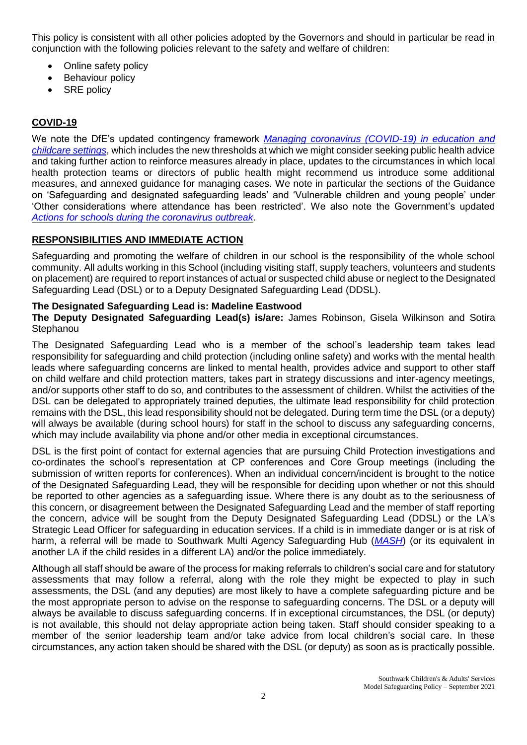This policy is consistent with all other policies adopted by the Governors and should in particular be read in conjunction with the following policies relevant to the safety and welfare of children:

- Online safety policy
- Behaviour policy
- SRE policy

# **COVID-19**

We note the DfE's updated contingency framework *[Managing coronavirus \(COVID-19\) in education and](https://www.gov.uk/government/publications/coronavirus-covid-19-local-restrictions-in-education-and-childcare-settings?utm_medium=email&utm_campaign=govuk-notifications&utm_source=f75efe81-efb1-40ab-bae6-f57a074b6f05&utm_content=daily)  [childcare settings](https://www.gov.uk/government/publications/coronavirus-covid-19-local-restrictions-in-education-and-childcare-settings?utm_medium=email&utm_campaign=govuk-notifications&utm_source=f75efe81-efb1-40ab-bae6-f57a074b6f05&utm_content=daily)*, which includes the new thresholds at which we might consider seeking public health advice and taking further action to reinforce measures already in place, updates to the circumstances in which local health protection teams or directors of public health might recommend us introduce some additional measures, and annexed guidance for managing cases. We note in particular the sections of the Guidance on 'Safeguarding and designated safeguarding leads' and 'Vulnerable children and young people' under 'Other considerations where attendance has been restricted'. We also note the Government's updated *[Actions for schools during the coronavirus outbreak](https://www.gov.uk/government/publications/actions-for-schools-during-the-coronavirus-outbreak?utm_medium=email&utm_campaign=govuk-notifications&utm_source=ae0d31a3-dbde-4cbf-91b2-2ed48dd33915&utm_content=daily)*.

#### **RESPONSIBILITIES AND IMMEDIATE ACTION**

Safeguarding and promoting the welfare of children in our school is the responsibility of the whole school community. All adults working in this School (including visiting staff, supply teachers, volunteers and students on placement) are required to report instances of actual or suspected child abuse or neglect to the Designated Safeguarding Lead (DSL) or to a Deputy Designated Safeguarding Lead (DDSL).

#### **The Designated Safeguarding Lead is: Madeline Eastwood**

**The Deputy Designated Safeguarding Lead(s) is/are:** James Robinson, Gisela Wilkinson and Sotira **Stephanou** 

The Designated Safeguarding Lead who is a member of the school's leadership team takes lead responsibility for safeguarding and child protection (including online safety) and works with the mental health leads where safeguarding concerns are linked to mental health, provides advice and support to other staff on child welfare and child protection matters, takes part in strategy discussions and inter-agency meetings, and/or supports other staff to do so, and contributes to the assessment of children. Whilst the activities of the DSL can be delegated to appropriately trained deputies, the ultimate lead responsibility for child protection remains with the DSL, this lead responsibility should not be delegated. During term time the DSL (or a deputy) will always be available (during school hours) for staff in the school to discuss any safeguarding concerns, which may include availability via phone and/or other media in exceptional circumstances.

DSL is the first point of contact for external agencies that are pursuing Child Protection investigations and co-ordinates the school's representation at CP conferences and Core Group meetings (including the submission of written reports for conferences). When an individual concern/incident is brought to the notice of the Designated Safeguarding Lead, they will be responsible for deciding upon whether or not this should be reported to other agencies as a safeguarding issue. Where there is any doubt as to the seriousness of this concern, or disagreement between the Designated Safeguarding Lead and the member of staff reporting the concern, advice will be sought from the Deputy Designated Safeguarding Lead (DDSL) or the LA's Strategic Lead Officer for safeguarding in education services. If a child is in immediate danger or is at risk of harm, a referral will be made to Southwark Multi Agency Safeguarding Hub (*[MASH](https://www.southwark.gov.uk/childcare-and-parenting/children-s-social-care/child-protection/multi-agency-safeguarding-hub-mash)*) (or its equivalent in another LA if the child resides in a different LA) and/or the police immediately.

Although all staff should be aware of the process for making referrals to children's social care and for statutory assessments that may follow a referral, along with the role they might be expected to play in such assessments, the DSL (and any deputies) are most likely to have a complete safeguarding picture and be the most appropriate person to advise on the response to safeguarding concerns. The DSL or a deputy will always be available to discuss safeguarding concerns. If in exceptional circumstances, the DSL (or deputy) is not available, this should not delay appropriate action being taken. Staff should consider speaking to a member of the senior leadership team and/or take advice from local children's social care. In these circumstances, any action taken should be shared with the DSL (or deputy) as soon as is practically possible.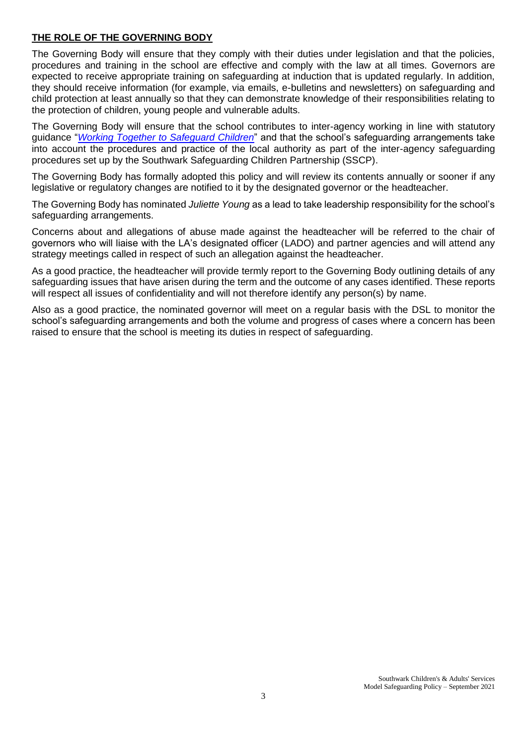## **THE ROLE OF THE GOVERNING BODY**

The Governing Body will ensure that they comply with their duties under legislation and that the policies, procedures and training in the school are effective and comply with the law at all times. Governors are expected to receive appropriate training on safeguarding at induction that is updated regularly. In addition, they should receive information (for example, via emails, e-bulletins and newsletters) on safeguarding and child protection at least annually so that they can demonstrate knowledge of their responsibilities relating to the protection of children, young people and vulnerable adults.

The Governing Body will ensure that the school contributes to inter-agency working in line with statutory guidance "*[Working Together to Safeguard Children](https://www.gov.uk/government/publications/working-together-to-safeguard-children--2)*" and that the school's safeguarding arrangements take into account the procedures and practice of the local authority as part of the inter-agency safeguarding procedures set up by the Southwark Safeguarding Children Partnership (SSCP).

The Governing Body has formally adopted this policy and will review its contents annually or sooner if any legislative or regulatory changes are notified to it by the designated governor or the headteacher.

The Governing Body has nominated *Juliette Young* as a lead to take leadership responsibility for the school's safeguarding arrangements.

Concerns about and allegations of abuse made against the headteacher will be referred to the chair of governors who will liaise with the LA's designated officer (LADO) and partner agencies and will attend any strategy meetings called in respect of such an allegation against the headteacher.

As a good practice, the headteacher will provide termly report to the Governing Body outlining details of any safeguarding issues that have arisen during the term and the outcome of any cases identified. These reports will respect all issues of confidentiality and will not therefore identify any person(s) by name.

Also as a good practice, the nominated governor will meet on a regular basis with the DSL to monitor the school's safeguarding arrangements and both the volume and progress of cases where a concern has been raised to ensure that the school is meeting its duties in respect of safeguarding.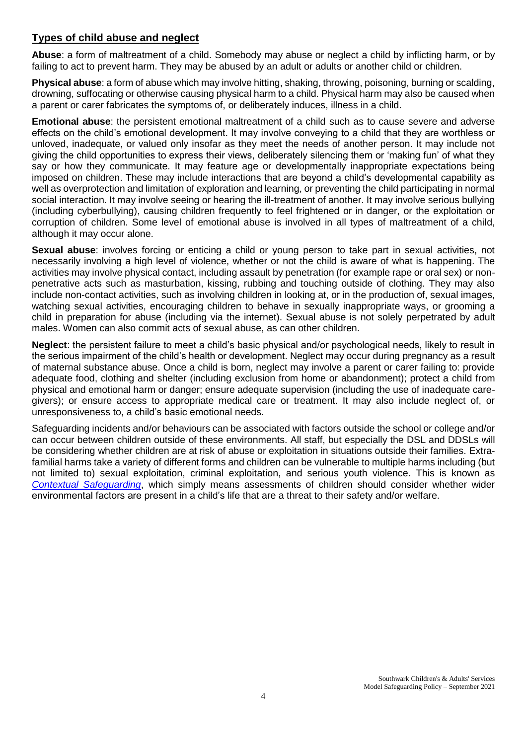# **Types of child abuse and neglect**

**Abuse**: a form of maltreatment of a child. Somebody may abuse or neglect a child by inflicting harm, or by failing to act to prevent harm. They may be abused by an adult or adults or another child or children.

**Physical abuse**: a form of abuse which may involve hitting, shaking, throwing, poisoning, burning or scalding, drowning, suffocating or otherwise causing physical harm to a child. Physical harm may also be caused when a parent or carer fabricates the symptoms of, or deliberately induces, illness in a child.

**Emotional abuse**: the persistent emotional maltreatment of a child such as to cause severe and adverse effects on the child's emotional development. It may involve conveying to a child that they are worthless or unloved, inadequate, or valued only insofar as they meet the needs of another person. It may include not giving the child opportunities to express their views, deliberately silencing them or 'making fun' of what they say or how they communicate. It may feature age or developmentally inappropriate expectations being imposed on children. These may include interactions that are beyond a child's developmental capability as well as overprotection and limitation of exploration and learning, or preventing the child participating in normal social interaction. It may involve seeing or hearing the ill-treatment of another. It may involve serious bullying (including cyberbullying), causing children frequently to feel frightened or in danger, or the exploitation or corruption of children. Some level of emotional abuse is involved in all types of maltreatment of a child, although it may occur alone.

**Sexual abuse**: involves forcing or enticing a child or young person to take part in sexual activities, not necessarily involving a high level of violence, whether or not the child is aware of what is happening. The activities may involve physical contact, including assault by penetration (for example rape or oral sex) or nonpenetrative acts such as masturbation, kissing, rubbing and touching outside of clothing. They may also include non-contact activities, such as involving children in looking at, or in the production of, sexual images, watching sexual activities, encouraging children to behave in sexually inappropriate ways, or grooming a child in preparation for abuse (including via the internet). Sexual abuse is not solely perpetrated by adult males. Women can also commit acts of sexual abuse, as can other children.

**Neglect**: the persistent failure to meet a child's basic physical and/or psychological needs, likely to result in the serious impairment of the child's health or development. Neglect may occur during pregnancy as a result of maternal substance abuse. Once a child is born, neglect may involve a parent or carer failing to: provide adequate food, clothing and shelter (including exclusion from home or abandonment); protect a child from physical and emotional harm or danger; ensure adequate supervision (including the use of inadequate caregivers); or ensure access to appropriate medical care or treatment. It may also include neglect of, or unresponsiveness to, a child's basic emotional needs.

Safeguarding incidents and/or behaviours can be associated with factors outside the school or college and/or can occur between children outside of these environments. All staff, but especially the DSL and DDSLs will be considering whether children are at risk of abuse or exploitation in situations outside their families. Extrafamilial harms take a variety of different forms and children can be vulnerable to multiple harms including (but not limited to) sexual exploitation, criminal exploitation, and serious youth violence. This is known as *[Contextual Safeguarding](https://contextualsafeguarding.org.uk/)*, which simply means assessments of children should consider whether wider environmental factors are present in a child's life that are a threat to their safety and/or welfare.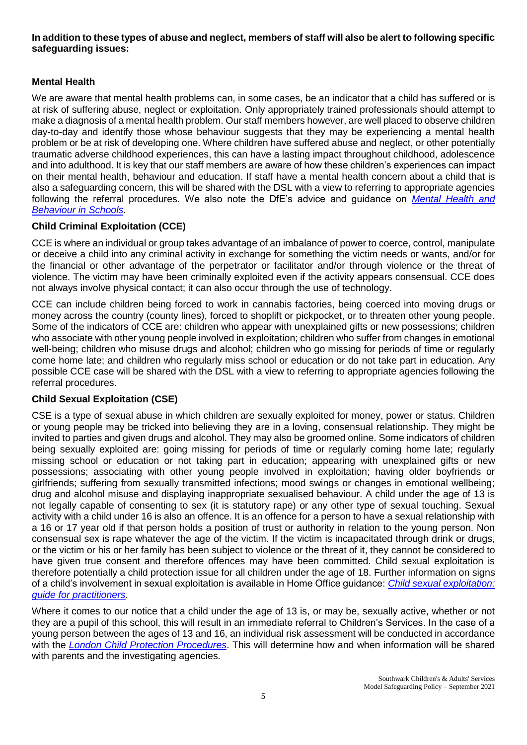#### **In addition to these types of abuse and neglect, members of staff will also be alert to following specific safeguarding issues:**

# **Mental Health**

We are aware that mental health problems can, in some cases, be an indicator that a child has suffered or is at risk of suffering abuse, neglect or exploitation. Only appropriately trained professionals should attempt to make a diagnosis of a mental health problem. Our staff members however, are well placed to observe children day-to-day and identify those whose behaviour suggests that they may be experiencing a mental health problem or be at risk of developing one. Where children have suffered abuse and neglect, or other potentially traumatic adverse childhood experiences, this can have a lasting impact throughout childhood, adolescence and into adulthood. It is key that our staff members are aware of how these children's experiences can impact on their mental health, behaviour and education. If staff have a mental health concern about a child that is also a safeguarding concern, this will be shared with the DSL with a view to referring to appropriate agencies following the referral procedures. We also note the DfE's advice and guidance on *[Mental Health and](https://www.gov.uk/government/publications/mental-health-and-behaviour-in-schools--2)  [Behaviour in Schools](https://www.gov.uk/government/publications/mental-health-and-behaviour-in-schools--2)*.

# **Child Criminal Exploitation (CCE)**

CCE is where an individual or group takes advantage of an imbalance of power to coerce, control, manipulate or deceive a child into any criminal activity in exchange for something the victim needs or wants, and/or for the financial or other advantage of the perpetrator or facilitator and/or through violence or the threat of violence. The victim may have been criminally exploited even if the activity appears consensual. CCE does not always involve physical contact; it can also occur through the use of technology.

CCE can include children being forced to work in cannabis factories, being coerced into moving drugs or money across the country (county lines), forced to shoplift or pickpocket, or to threaten other young people. Some of the indicators of CCE are: children who appear with unexplained gifts or new possessions; children who associate with other young people involved in exploitation; children who suffer from changes in emotional well-being; children who misuse drugs and alcohol; children who go missing for periods of time or regularly come home late; and children who regularly miss school or education or do not take part in education. Any possible CCE case will be shared with the DSL with a view to referring to appropriate agencies following the referral procedures.

## **Child Sexual Exploitation (CSE)**

CSE is a type of sexual abuse in which children are sexually exploited for money, power or status. Children or young people may be tricked into believing they are in a loving, consensual relationship. They might be invited to parties and given drugs and alcohol. They may also be groomed online. Some indicators of children being sexually exploited are: going missing for periods of time or regularly coming home late; regularly missing school or education or not taking part in education; appearing with unexplained gifts or new possessions; associating with other young people involved in exploitation; having older boyfriends or girlfriends; suffering from sexually transmitted infections; mood swings or changes in emotional wellbeing; drug and alcohol misuse and displaying inappropriate sexualised behaviour. A child under the age of 13 is not legally capable of consenting to sex (it is statutory rape) or any other type of sexual touching. Sexual activity with a child under 16 is also an offence. It is an offence for a person to have a sexual relationship with a 16 or 17 year old if that person holds a position of trust or authority in relation to the young person. Non consensual sex is rape whatever the age of the victim. If the victim is incapacitated through drink or drugs, or the victim or his or her family has been subject to violence or the threat of it, they cannot be considered to have given true consent and therefore offences may have been committed. Child sexual exploitation is therefore potentially a child protection issue for all children under the age of 18. Further information on signs of a child's involvement in sexual exploitation is available in Home Office guidance: *[Child sexual exploitation:](https://www.gov.uk/government/publications/child-sexual-exploitation-definition-and-guide-for-practitioners)  [guide for practitioners](https://www.gov.uk/government/publications/child-sexual-exploitation-definition-and-guide-for-practitioners)*.

Where it comes to our notice that a child under the age of 13 is, or may be, sexually active, whether or not they are a pupil of this school, this will result in an immediate referral to Children's Services. In the case of a young person between the ages of 13 and 16, an individual risk assessment will be conducted in accordance with the *[London Child Protection Procedures](http://www.londoncp.co.uk/index.html)*. This will determine how and when information will be shared with parents and the investigating agencies.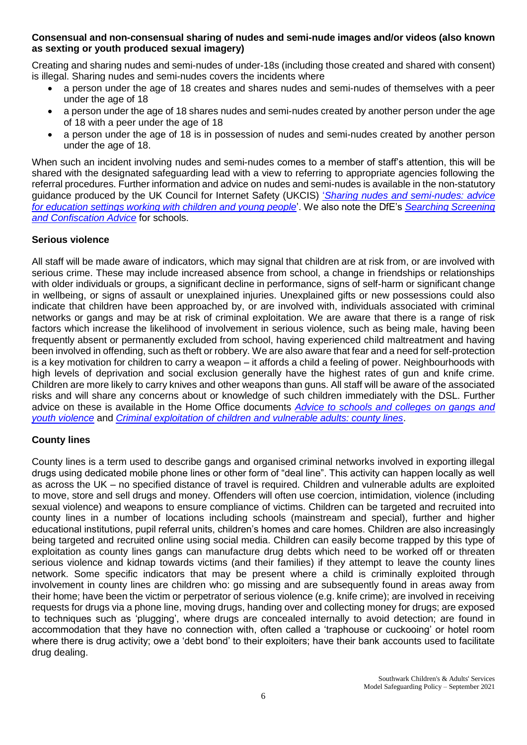#### **Consensual and non-consensual sharing of nudes and semi-nude images and/or videos (also known as sexting or youth produced sexual imagery)**

Creating and sharing nudes and semi-nudes of under-18s (including those created and shared with consent) is illegal. Sharing nudes and semi-nudes covers the incidents where

- a person under the age of 18 creates and shares nudes and semi-nudes of themselves with a peer under the age of 18
- a person under the age of 18 shares nudes and semi-nudes created by another person under the age of 18 with a peer under the age of 18
- a person under the age of 18 is in possession of nudes and semi-nudes created by another person under the age of 18.

When such an incident involving nudes and semi-nudes comes to a member of staff's attention, this will be shared with the designated safeguarding lead with a view to referring to appropriate agencies following the referral procedures. Further information and advice on nudes and semi-nudes is available in the non-statutory guidance produced by the UK Council for Internet Safety (UKCIS) '*[Sharing nudes and semi-nudes: advice](https://www.gov.uk/government/uploads/system/uploads/attachment_data/file/609874/6_2939_SP_NCA_Sexting_In_Schools_FINAL_Update_Jan17.pdf)  [for education settings working with children and young people](https://www.gov.uk/government/uploads/system/uploads/attachment_data/file/609874/6_2939_SP_NCA_Sexting_In_Schools_FINAL_Update_Jan17.pdf)*'. We also note the DfE's *[Searching Screening](https://www.gov.uk/government/publications/searching-screening-and-confiscation)  [and Confiscation Advice](https://www.gov.uk/government/publications/searching-screening-and-confiscation)* for schools.

#### **Serious violence**

All staff will be made aware of indicators, which may signal that children are at risk from, or are involved with serious crime. These may include increased absence from school, a change in friendships or relationships with older individuals or groups, a significant decline in performance, signs of self-harm or significant change in wellbeing, or signs of assault or unexplained injuries. Unexplained gifts or new possessions could also indicate that children have been approached by, or are involved with, individuals associated with criminal networks or gangs and may be at risk of criminal exploitation. We are aware that there is a range of risk factors which increase the likelihood of involvement in serious violence, such as being male, having been frequently absent or permanently excluded from school, having experienced child maltreatment and having been involved in offending, such as theft or robbery. We are also aware that fear and a need for self-protection is a key motivation for children to carry a weapon – it affords a child a feeling of power. Neighbourhoods with high levels of deprivation and social exclusion generally have the highest rates of gun and knife crime. Children are more likely to carry knives and other weapons than guns. All staff will be aware of the associated risks and will share any concerns about or knowledge of such children immediately with the DSL. Further advice on these is available in the Home Office documents *[Advice to schools and colleges on gangs and](https://www.gov.uk/government/publications/advice-to-schools-and-colleges-on-gangs-and-youth-violence)  [youth violence](https://www.gov.uk/government/publications/advice-to-schools-and-colleges-on-gangs-and-youth-violence)* and *[Criminal exploitation of children and vulnerable adults: county lines](https://www.gov.uk/government/publications/criminal-exploitation-of-children-and-vulnerable-adults-county-lines)*.

## **County lines**

County lines is a term used to describe gangs and organised criminal networks involved in exporting illegal drugs using dedicated mobile phone lines or other form of "deal line". This activity can happen locally as well as across the UK – no specified distance of travel is required. Children and vulnerable adults are exploited to move, store and sell drugs and money. Offenders will often use coercion, intimidation, violence (including sexual violence) and weapons to ensure compliance of victims. Children can be targeted and recruited into county lines in a number of locations including schools (mainstream and special), further and higher educational institutions, pupil referral units, children's homes and care homes. Children are also increasingly being targeted and recruited online using social media. Children can easily become trapped by this type of exploitation as county lines gangs can manufacture drug debts which need to be worked off or threaten serious violence and kidnap towards victims (and their families) if they attempt to leave the county lines network. Some specific indicators that may be present where a child is criminally exploited through involvement in county lines are children who: go missing and are subsequently found in areas away from their home; have been the victim or perpetrator of serious violence (e.g. knife crime); are involved in receiving requests for drugs via a phone line, moving drugs, handing over and collecting money for drugs; are exposed to techniques such as 'plugging', where drugs are concealed internally to avoid detection; are found in accommodation that they have no connection with, often called a 'traphouse or cuckooing' or hotel room where there is drug activity; owe a 'debt bond' to their exploiters; have their bank accounts used to facilitate drug dealing.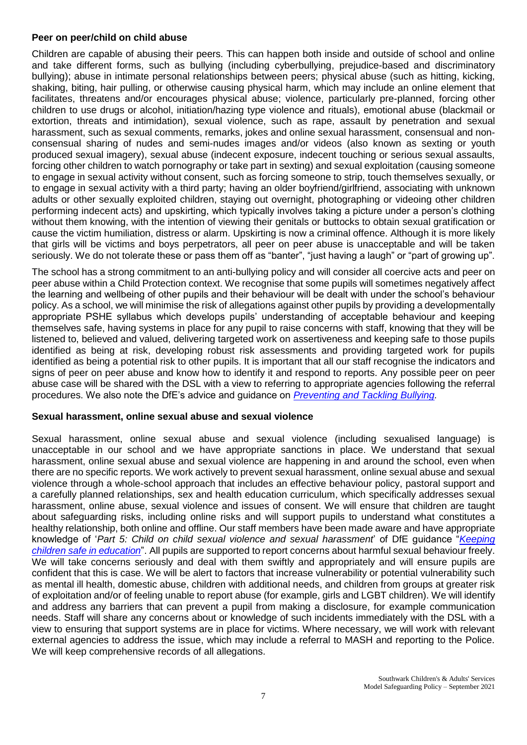#### **Peer on peer/child on child abuse**

Children are capable of abusing their peers. This can happen both inside and outside of school and online and take different forms, such as bullying (including cyberbullying, prejudice-based and discriminatory bullying); abuse in intimate personal relationships between peers; physical abuse (such as hitting, kicking, shaking, biting, hair pulling, or otherwise causing physical harm, which may include an online element that facilitates, threatens and/or encourages physical abuse; violence, particularly pre-planned, forcing other children to use drugs or alcohol, initiation/hazing type violence and rituals), emotional abuse (blackmail or extortion, threats and intimidation), sexual violence, such as rape, assault by penetration and sexual harassment, such as sexual comments, remarks, jokes and online sexual harassment, consensual and nonconsensual sharing of nudes and semi-nudes images and/or videos (also known as sexting or youth produced sexual imagery), sexual abuse (indecent exposure, indecent touching or serious sexual assaults, forcing other children to watch pornography or take part in sexting) and sexual exploitation (causing someone to engage in sexual activity without consent, such as forcing someone to strip, touch themselves sexually, or to engage in sexual activity with a third party; having an older boyfriend/girlfriend, associating with unknown adults or other sexually exploited children, staying out overnight, photographing or videoing other children performing indecent acts) and upskirting, which typically involves taking a picture under a person's clothing without them knowing, with the intention of viewing their genitals or buttocks to obtain sexual gratification or cause the victim humiliation, distress or alarm. Upskirting is now a criminal offence. Although it is more likely that girls will be victims and boys perpetrators, all peer on peer abuse is unacceptable and will be taken seriously. We do not tolerate these or pass them off as "banter", "just having a laugh" or "part of growing up".

The school has a strong commitment to an anti-bullying policy and will consider all coercive acts and peer on peer abuse within a Child Protection context. We recognise that some pupils will sometimes negatively affect the learning and wellbeing of other pupils and their behaviour will be dealt with under the school's behaviour policy. As a school, we will minimise the risk of allegations against other pupils by providing a developmentally appropriate PSHE syllabus which develops pupils' understanding of acceptable behaviour and keeping themselves safe, having systems in place for any pupil to raise concerns with staff, knowing that they will be listened to, believed and valued, delivering targeted work on assertiveness and keeping safe to those pupils identified as being at risk, developing robust risk assessments and providing targeted work for pupils identified as being a potential risk to other pupils. It is important that all our staff recognise the indicators and signs of peer on peer abuse and know how to identify it and respond to reports. Any possible peer on peer abuse case will be shared with the DSL with a view to referring to appropriate agencies following the referral procedures. We also note the DfE's advice and guidance on *[Preventing and Tackling Bullying.](https://www.gov.uk/government/publications/preventing-and-tackling-bullying)*

#### **Sexual harassment, online sexual abuse and sexual violence**

Sexual harassment, online sexual abuse and sexual violence (including sexualised language) is unacceptable in our school and we have appropriate sanctions in place. We understand that sexual harassment, online sexual abuse and sexual violence are happening in and around the school, even when there are no specific reports. We work actively to prevent sexual harassment, online sexual abuse and sexual violence through a whole-school approach that includes an effective behaviour policy, pastoral support and a carefully planned relationships, sex and health education curriculum, which specifically addresses sexual harassment, online abuse, sexual violence and issues of consent. We will ensure that children are taught about safeguarding risks, including online risks and will support pupils to understand what constitutes a healthy relationship, both online and offline. Our staff members have been made aware and have appropriate knowledge of '*Part 5: Child on child sexual violence and sexual harassment*' of DfE guidance "*[Keeping](https://www.gov.uk/government/publications/keeping-children-safe-in-education--2)  [children safe in education](https://www.gov.uk/government/publications/keeping-children-safe-in-education--2)*". All pupils are supported to report concerns about harmful sexual behaviour freely. We will take concerns seriously and deal with them swiftly and appropriately and will ensure pupils are confident that this is case. We will be alert to factors that increase vulnerability or potential vulnerability such as mental ill health, domestic abuse, children with additional needs, and children from groups at greater risk of exploitation and/or of feeling unable to report abuse (for example, girls and LGBT children). We will identify and address any barriers that can prevent a pupil from making a disclosure, for example communication needs. Staff will share any concerns about or knowledge of such incidents immediately with the DSL with a view to ensuring that support systems are in place for victims. Where necessary, we will work with relevant external agencies to address the issue, which may include a referral to MASH and reporting to the Police. We will keep comprehensive records of all allegations.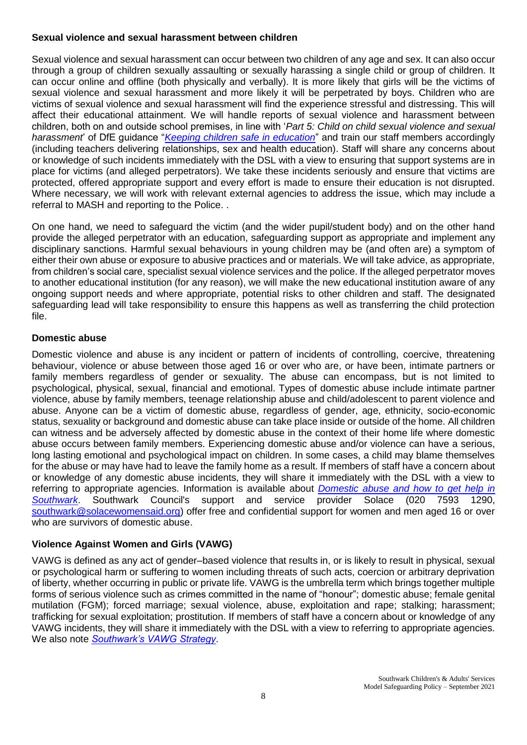#### **Sexual violence and sexual harassment between children**

Sexual violence and sexual harassment can occur between two children of any age and sex. It can also occur through a group of children sexually assaulting or sexually harassing a single child or group of children. It can occur online and offline (both physically and verbally). It is more likely that girls will be the victims of sexual violence and sexual harassment and more likely it will be perpetrated by boys. Children who are victims of sexual violence and sexual harassment will find the experience stressful and distressing. This will affect their educational attainment. We will handle reports of sexual violence and harassment between children, both on and outside school premises, in line with '*Part 5: Child on child sexual violence and sexual harassment*' of DfE guidance "*[Keeping children safe in education](https://www.gov.uk/government/publications/keeping-children-safe-in-education--2)*" and train our staff members accordingly (including teachers delivering relationships, sex and health education). Staff will share any concerns about or knowledge of such incidents immediately with the DSL with a view to ensuring that support systems are in place for victims (and alleged perpetrators). We take these incidents seriously and ensure that victims are protected, offered appropriate support and every effort is made to ensure their education is not disrupted. Where necessary, we will work with relevant external agencies to address the issue, which may include a referral to MASH and reporting to the Police. .

On one hand, we need to safeguard the victim (and the wider pupil/student body) and on the other hand provide the alleged perpetrator with an education, safeguarding support as appropriate and implement any disciplinary sanctions. Harmful sexual behaviours in young children may be (and often are) a symptom of either their own abuse or exposure to abusive practices and or materials. We will take advice, as appropriate, from children's social care, specialist sexual violence services and the police. If the alleged perpetrator moves to another educational institution (for any reason), we will make the new educational institution aware of any ongoing support needs and where appropriate, potential risks to other children and staff. The designated safeguarding lead will take responsibility to ensure this happens as well as transferring the child protection file.

## **Domestic abuse**

Domestic violence and abuse is any incident or pattern of incidents of controlling, coercive, threatening behaviour, violence or abuse between those aged 16 or over who are, or have been, intimate partners or family members regardless of gender or sexuality. The abuse can encompass, but is not limited to psychological, physical, sexual, financial and emotional. Types of domestic abuse include intimate partner violence, abuse by family members, teenage relationship abuse and child/adolescent to parent violence and abuse. Anyone can be a victim of domestic abuse, regardless of gender, age, ethnicity, socio-economic status, sexuality or background and domestic abuse can take place inside or outside of the home. All children can witness and be adversely affected by domestic abuse in the context of their home life where domestic abuse occurs between family members. Experiencing domestic abuse and/or violence can have a serious, long lasting emotional and psychological impact on children. In some cases, a child may blame themselves for the abuse or may have had to leave the family home as a result. If members of staff have a concern about or knowledge of any domestic abuse incidents, they will share it immediately with the DSL with a view to referring to appropriate agencies. Information is available about *[Domestic abuse and how to get help in](https://www.southwark.gov.uk/community-safety/domestic-abuse/if-you-re-experiencing-domestic-abuse/domestic-abuse-and-how-to-get-help)  [Southwark](https://www.southwark.gov.uk/community-safety/domestic-abuse/if-you-re-experiencing-domestic-abuse/domestic-abuse-and-how-to-get-help)*. Southwark Council's support and service provider Solace (020 7593 1290, [southwark@solacewomensaid.org\)](mailto:southwark@solacewomensaid.org) offer free and confidential support for women and men aged 16 or over who are survivors of domestic abuse.

## **Violence Against Women and Girls (VAWG)**

VAWG is defined as any act of gender–based violence that results in, or is likely to result in physical, sexual or psychological harm or suffering to women including threats of such acts, coercion or arbitrary deprivation of liberty, whether occurring in public or private life. VAWG is the umbrella term which brings together multiple forms of serious violence such as crimes committed in the name of "honour"; domestic abuse; female genital mutilation (FGM); forced marriage; sexual violence, abuse, exploitation and rape; stalking; harassment; trafficking for sexual exploitation; prostitution. If members of staff have a concern about or knowledge of any VAWG incidents, they will share it immediately with the DSL with a view to referring to appropriate agencies. We also note *[Southwark's VAWG Strategy](https://www.southwark.gov.uk/community-safety/domestic-abuse/information-for-professionals-about-domestic-abuse/violence-against-women-and-girls-strategy-2019-to-2024)*.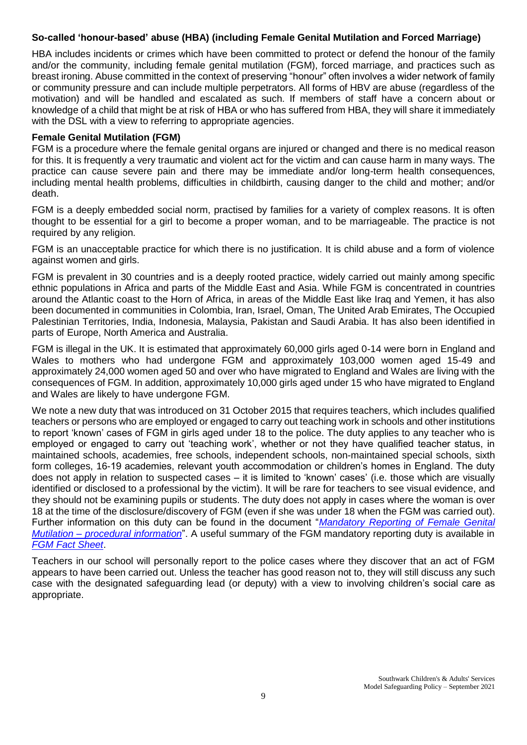#### **So-called 'honour-based' abuse (HBA) (including Female Genital Mutilation and Forced Marriage)**

HBA includes incidents or crimes which have been committed to protect or defend the honour of the family and/or the community, including female genital mutilation (FGM), forced marriage, and practices such as breast ironing. Abuse committed in the context of preserving "honour" often involves a wider network of family or community pressure and can include multiple perpetrators. All forms of HBV are abuse (regardless of the motivation) and will be handled and escalated as such. If members of staff have a concern about or knowledge of a child that might be at risk of HBA or who has suffered from HBA, they will share it immediately with the DSL with a view to referring to appropriate agencies.

#### **Female Genital Mutilation (FGM)**

FGM is a procedure where the female genital organs are injured or changed and there is no medical reason for this. It is frequently a very traumatic and violent act for the victim and can cause harm in many ways. The practice can cause severe pain and there may be immediate and/or long-term health consequences, including mental health problems, difficulties in childbirth, causing danger to the child and mother; and/or death.

FGM is a deeply embedded social norm, practised by families for a variety of complex reasons. It is often thought to be essential for a girl to become a proper woman, and to be marriageable. The practice is not required by any religion.

FGM is an unacceptable practice for which there is no justification. It is child abuse and a form of violence against women and girls.

FGM is prevalent in 30 countries and is a deeply rooted practice, widely carried out mainly among specific ethnic populations in Africa and parts of the Middle East and Asia. While FGM is concentrated in countries around the Atlantic coast to the Horn of Africa, in areas of the Middle East like Iraq and Yemen, it has also been documented in communities in Colombia, Iran, Israel, Oman, The United Arab Emirates, The Occupied Palestinian Territories, India, Indonesia, Malaysia, Pakistan and Saudi Arabia. It has also been identified in parts of Europe, North America and Australia.

FGM is illegal in the UK. It is estimated that approximately 60,000 girls aged 0-14 were born in England and Wales to mothers who had undergone FGM and approximately 103,000 women aged 15-49 and approximately 24,000 women aged 50 and over who have migrated to England and Wales are living with the consequences of FGM. In addition, approximately 10,000 girls aged under 15 who have migrated to England and Wales are likely to have undergone FGM.

We note a new duty that was introduced on 31 October 2015 that requires teachers, which includes qualified teachers or persons who are employed or engaged to carry out teaching work in schools and other institutions to report 'known' cases of FGM in girls aged under 18 to the police. The duty applies to any teacher who is employed or engaged to carry out 'teaching work', whether or not they have qualified teacher status, in maintained schools, academies, free schools, independent schools, non-maintained special schools, sixth form colleges, 16-19 academies, relevant youth accommodation or children's homes in England. The duty does not apply in relation to suspected cases – it is limited to 'known' cases' (i.e. those which are visually identified or disclosed to a professional by the victim). It will be rare for teachers to see visual evidence, and they should not be examining pupils or students. The duty does not apply in cases where the woman is over 18 at the time of the disclosure/discovery of FGM (even if she was under 18 when the FGM was carried out). Further information on this duty can be found in the document "*[Mandatory Reporting of Female Genital](https://www.gov.uk/government/publications/mandatory-reporting-of-female-genital-mutilation-procedural-information)  Mutilation – [procedural information](https://www.gov.uk/government/publications/mandatory-reporting-of-female-genital-mutilation-procedural-information)*". A useful summary of the FGM mandatory reporting duty is available in *[FGM Fact Sheet](https://assets.publishing.service.gov.uk/government/uploads/system/uploads/attachment_data/file/496415/6_1639_HO_SP_FGM_mandatory_reporting_Fact_sheet_Web.pdf)*.

Teachers in our school will personally report to the police cases where they discover that an act of FGM appears to have been carried out. Unless the teacher has good reason not to, they will still discuss any such case with the designated safeguarding lead (or deputy) with a view to involving children's social care as appropriate.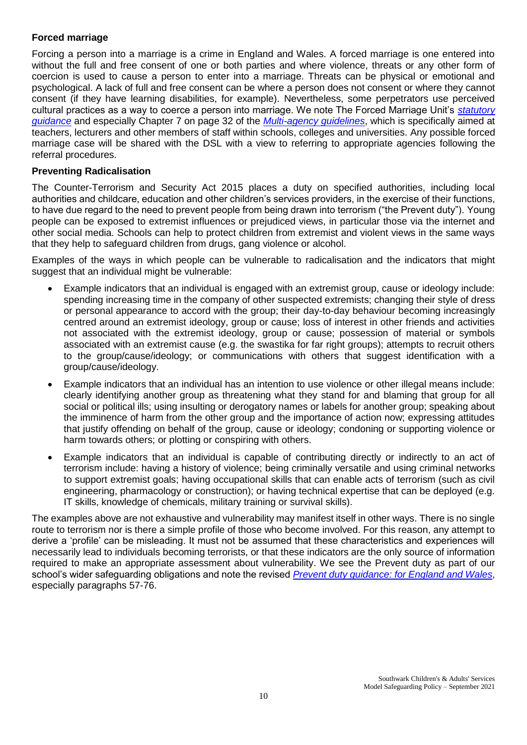## **Forced marriage**

Forcing a person into a marriage is a crime in England and Wales. A forced marriage is one entered into without the full and free consent of one or both parties and where violence, threats or any other form of coercion is used to cause a person to enter into a marriage. Threats can be physical or emotional and psychological. A lack of full and free consent can be where a person does not consent or where they cannot consent (if they have learning disabilities, for example). Nevertheless, some perpetrators use perceived cultural practices as a way to coerce a person into marriage. We note The Forced Marriage Unit's *[statutory](https://www.gov.uk/guidance/forced-marriage)  [guidance](https://www.gov.uk/guidance/forced-marriage)* and especially Chapter 7 on page 32 of the *[Multi-agency guidelines](https://assets.publishing.service.gov.uk/government/uploads/system/uploads/attachment_data/file/322307/HMG_MULTI_AGENCY_PRACTICE_GUIDELINES_v1_180614_FINAL.pdf)*, which is specifically aimed at teachers, lecturers and other members of staff within schools, colleges and universities. Any possible forced marriage case will be shared with the DSL with a view to referring to appropriate agencies following the referral procedures.

## **Preventing Radicalisation**

The Counter-Terrorism and Security Act 2015 places a duty on specified authorities, including local authorities and childcare, education and other children's services providers, in the exercise of their functions, to have due regard to the need to prevent people from being drawn into terrorism ("the Prevent duty"). Young people can be exposed to extremist influences or prejudiced views, in particular those via the internet and other social media. Schools can help to protect children from extremist and violent views in the same ways that they help to safeguard children from drugs, gang violence or alcohol.

Examples of the ways in which people can be vulnerable to radicalisation and the indicators that might suggest that an individual might be vulnerable:

- Example indicators that an individual is engaged with an extremist group, cause or ideology include: spending increasing time in the company of other suspected extremists; changing their style of dress or personal appearance to accord with the group; their day-to-day behaviour becoming increasingly centred around an extremist ideology, group or cause; loss of interest in other friends and activities not associated with the extremist ideology, group or cause; possession of material or symbols associated with an extremist cause (e.g. the swastika for far right groups); attempts to recruit others to the group/cause/ideology; or communications with others that suggest identification with a group/cause/ideology.
- Example indicators that an individual has an intention to use violence or other illegal means include: clearly identifying another group as threatening what they stand for and blaming that group for all social or political ills; using insulting or derogatory names or labels for another group; speaking about the imminence of harm from the other group and the importance of action now; expressing attitudes that justify offending on behalf of the group, cause or ideology; condoning or supporting violence or harm towards others; or plotting or conspiring with others.
- Example indicators that an individual is capable of contributing directly or indirectly to an act of terrorism include: having a history of violence; being criminally versatile and using criminal networks to support extremist goals; having occupational skills that can enable acts of terrorism (such as civil engineering, pharmacology or construction); or having technical expertise that can be deployed (e.g. IT skills, knowledge of chemicals, military training or survival skills).

The examples above are not exhaustive and vulnerability may manifest itself in other ways. There is no single route to terrorism nor is there a simple profile of those who become involved. For this reason, any attempt to derive a 'profile' can be misleading. It must not be assumed that these characteristics and experiences will necessarily lead to individuals becoming terrorists, or that these indicators are the only source of information required to make an appropriate assessment about vulnerability. We see the Prevent duty as part of our school's wider safeguarding obligations and note the revised *[Prevent duty guidance: for England and Wales](https://www.gov.uk/government/publications/prevent-duty-guidance)*, especially paragraphs 57-76.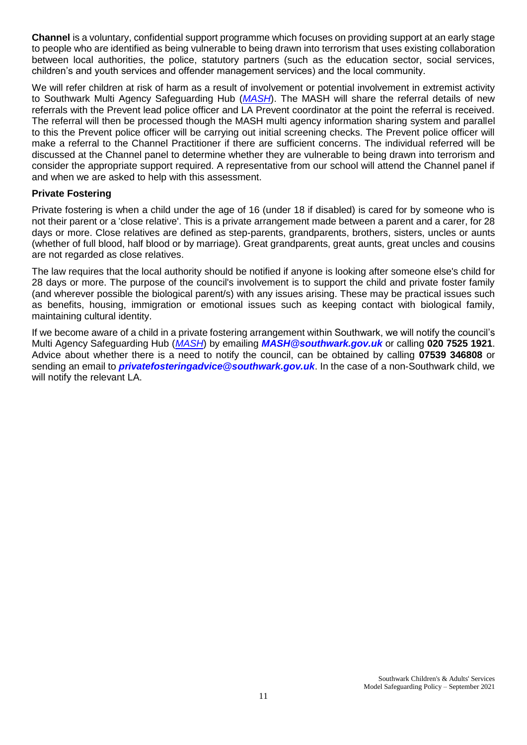**Channel** is a voluntary, confidential support programme which focuses on providing support at an early stage to people who are identified as being vulnerable to being drawn into terrorism that uses existing collaboration between local authorities, the police, statutory partners (such as the education sector, social services, children's and youth services and offender management services) and the local community.

We will refer children at risk of harm as a result of involvement or potential involvement in extremist activity to Southwark Multi Agency Safeguarding Hub (*[MASH](https://www.southwark.gov.uk/childcare-and-parenting/children-s-social-care/child-protection/multi-agency-safeguarding-hub-mash)*). The MASH will share the referral details of new referrals with the Prevent lead police officer and LA Prevent coordinator at the point the referral is received. The referral will then be processed though the MASH multi agency information sharing system and parallel to this the Prevent police officer will be carrying out initial screening checks. The Prevent police officer will make a referral to the Channel Practitioner if there are sufficient concerns. The individual referred will be discussed at the Channel panel to determine whether they are vulnerable to being drawn into terrorism and consider the appropriate support required. A representative from our school will attend the Channel panel if and when we are asked to help with this assessment.

#### **Private Fostering**

Private fostering is when a child under the age of 16 (under 18 if disabled) is cared for by someone who is not their parent or a 'close relative'. This is a private arrangement made between a parent and a carer, for 28 days or more. Close relatives are defined as step-parents, grandparents, brothers, sisters, uncles or aunts (whether of full blood, half blood or by marriage). Great grandparents, great aunts, great uncles and cousins are not regarded as close relatives.

The law requires that the local authority should be notified if anyone is looking after someone else's child for 28 days or more. The purpose of the council's involvement is to support the child and private foster family (and wherever possible the biological parent/s) with any issues arising. These may be practical issues such as benefits, housing, immigration or emotional issues such as keeping contact with biological family, maintaining cultural identity.

If we become aware of a child in a private fostering arrangement within Southwark, we will notify the council's Multi Agency Safeguarding Hub (*[MASH](https://www.southwark.gov.uk/childcare-and-parenting/children-s-social-care/child-protection/multi-agency-safeguarding-hub-mash)*) by emailing *[MASH@southwark.gov.uk](mailto:MASH@southwark.gov.uk)* or calling **020 7525 1921**. Advice about whether there is a need to notify the council, can be obtained by calling **07539 346808** or sending an email to *[privatefosteringadvice@southwark.gov.uk](mailto:privatefosteringadvice@southwark.gov.uk)*. In the case of a non-Southwark child, we will notify the relevant LA.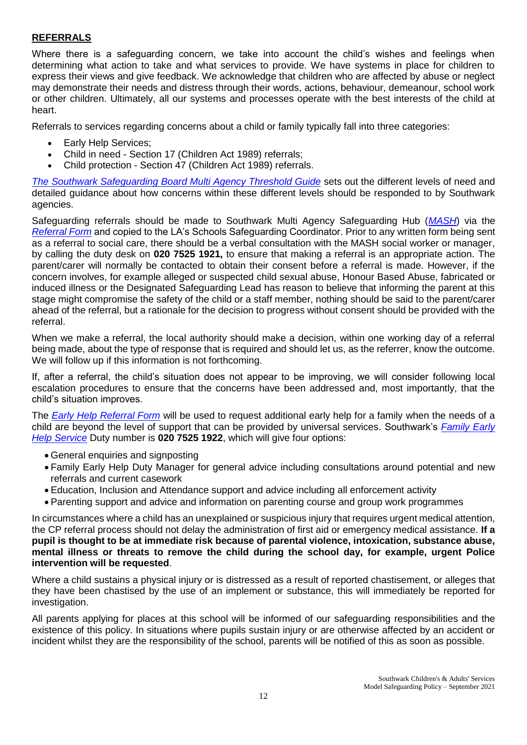## **REFERRALS**

Where there is a safeguarding concern, we take into account the child's wishes and feelings when determining what action to take and what services to provide. We have systems in place for children to express their views and give feedback. We acknowledge that children who are affected by abuse or neglect may demonstrate their needs and distress through their words, actions, behaviour, demeanour, school work or other children. Ultimately, all our systems and processes operate with the best interests of the child at heart.

Referrals to services regarding concerns about a child or family typically fall into three categories:

- Early Help Services;
- Child in need Section 17 (Children Act 1989) referrals;
- Child protection Section 47 (Children Act 1989) referrals.

*[The Southwark Safeguarding Board Multi Agency Threshold Guide](https://safeguarding.southwark.gov.uk/assets/files/463/SSCB.THRESHOLD-OF-NEEDS.FINAL.pdf)* sets out the different levels of need and detailed guidance about how concerns within these different levels should be responded to by Southwark agencies.

Safeguarding referrals should be made to Southwark Multi Agency Safeguarding Hub (*[MASH](https://www.southwark.gov.uk/childcare-and-parenting/children-s-social-care/child-protection/multi-agency-safeguarding-hub-mash)*) via th[e](https://www.safeguarding.southwark.gov.uk/assets/files/524/updated-multi-agency-referral-form-updated-5.12.19.docx) *[Referral Form](https://www.safeguarding.southwark.gov.uk/assets/files/524/updated-multi-agency-referral-form-updated-5.12.19.docx)* and copied to the LA's Schools Safeguarding Coordinator. Prior to any written form being sent as a referral to social care, there should be a verbal consultation with the MASH social worker or manager, by calling the duty desk on **020 7525 1921,** to ensure that making a referral is an appropriate action. The parent/carer will normally be contacted to obtain their consent before a referral is made. However, if the concern involves, for example alleged or suspected child sexual abuse, Honour Based Abuse, fabricated or induced illness or the Designated Safeguarding Lead has reason to believe that informing the parent at this stage might compromise the safety of the child or a staff member, nothing should be said to the parent/carer ahead of the referral, but a rationale for the decision to progress without consent should be provided with the referral.

When we make a referral, the local authority should make a decision, within one working day of a referral being made, about the type of response that is required and should let us, as the referrer, know the outcome. We will follow up if this information is not forthcoming.

If, after a referral, the child's situation does not appear to be improving, we will consider following local escalation procedures to ensure that the concerns have been addressed and, most importantly, that the child's situation improves.

The *[Early Help Referral Form](https://www.southwark.gov.uk/assets/attach/4659/New-Early-Help-Referral-Form-2-1-.docx)* will be used to request additional early help for a family when the needs of a child are beyond the level of support that can be provided by universal services. Southwark's *[Family Early](https://www.southwark.gov.uk/childcare-and-parenting/children-s-social-care/family-early-help-feh/family-early-help-feh-strategy)  Help [Service](https://www.southwark.gov.uk/childcare-and-parenting/children-s-social-care/family-early-help-feh/family-early-help-feh-strategy)* Duty number is **020 7525 1922**, which will give four options:

- General enquiries and signposting
- Family Early Help Duty Manager for general advice including consultations around potential and new referrals and current casework
- Education, Inclusion and Attendance support and advice including all enforcement activity
- Parenting support and advice and information on parenting course and group work programmes

In circumstances where a child has an unexplained or suspicious injury that requires urgent medical attention, the CP referral process should not delay the administration of first aid or emergency medical assistance. **If a pupil is thought to be at immediate risk because of parental violence, intoxication, substance abuse, mental illness or threats to remove the child during the school day, for example, urgent Police intervention will be requested**.

Where a child sustains a physical injury or is distressed as a result of reported chastisement, or alleges that they have been chastised by the use of an implement or substance, this will immediately be reported for investigation.

All parents applying for places at this school will be informed of our safeguarding responsibilities and the existence of this policy. In situations where pupils sustain injury or are otherwise affected by an accident or incident whilst they are the responsibility of the school, parents will be notified of this as soon as possible.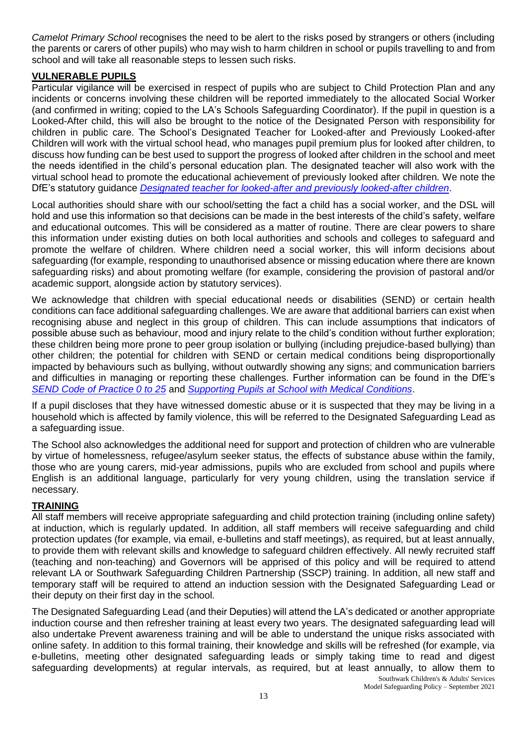*Camelot Primary School* recognises the need to be alert to the risks posed by strangers or others (including the parents or carers of other pupils) who may wish to harm children in school or pupils travelling to and from school and will take all reasonable steps to lessen such risks.

## **VULNERABLE PUPILS**

Particular vigilance will be exercised in respect of pupils who are subject to Child Protection Plan and any incidents or concerns involving these children will be reported immediately to the allocated Social Worker (and confirmed in writing; copied to the LA's Schools Safeguarding Coordinator). If the pupil in question is a Looked-After child, this will also be brought to the notice of the Designated Person with responsibility for children in public care. The School's Designated Teacher for Looked-after and Previously Looked-after Children will work with the virtual school head, who manages pupil premium plus for looked after children, to discuss how funding can be best used to support the progress of looked after children in the school and meet the needs identified in the child's personal education plan. The designated teacher will also work with the virtual school head to promote the educational achievement of previously looked after children. We note the DfE's statutory guidance *[Designated teacher for looked-after and previously looked-after children](https://www.gov.uk/government/publications/designated-teacher-for-looked-after-children)*.

Local authorities should share with our school/setting the fact a child has a social worker, and the DSL will hold and use this information so that decisions can be made in the best interests of the child's safety, welfare and educational outcomes. This will be considered as a matter of routine. There are clear powers to share this information under existing duties on both local authorities and schools and colleges to safeguard and promote the welfare of children. Where children need a social worker, this will inform decisions about safeguarding (for example, responding to unauthorised absence or missing education where there are known safeguarding risks) and about promoting welfare (for example, considering the provision of pastoral and/or academic support, alongside action by statutory services).

We acknowledge that children with special educational needs or disabilities (SEND) or certain health conditions can face additional safeguarding challenges. We are aware that additional barriers can exist when recognising abuse and neglect in this group of children. This can include assumptions that indicators of possible abuse such as behaviour, mood and injury relate to the child's condition without further exploration; these children being more prone to peer group isolation or bullying (including prejudice-based bullying) than other children; the potential for children with SEND or certain medical conditions being disproportionally impacted by behaviours such as bullying, without outwardly showing any signs; and communication barriers and difficulties in managing or reporting these challenges. Further information can be found in the DfE's *[SEND Code of Practice 0 to 25](https://www.gov.uk/government/publications/send-code-of-practice-0-to-25)* and *[Supporting Pupils at School with Medical Conditions](https://www.gov.uk/government/publications/supporting-pupils-at-school-with-medical-conditions--3)*.

If a pupil discloses that they have witnessed domestic abuse or it is suspected that they may be living in a household which is affected by family violence, this will be referred to the Designated Safeguarding Lead as a safeguarding issue.

The School also acknowledges the additional need for support and protection of children who are vulnerable by virtue of homelessness, refugee/asylum seeker status, the effects of substance abuse within the family, those who are young carers, mid-year admissions, pupils who are excluded from school and pupils where English is an additional language, particularly for very young children, using the translation service if necessary.

#### **TRAINING**

All staff members will receive appropriate safeguarding and child protection training (including online safety) at induction, which is regularly updated. In addition, all staff members will receive safeguarding and child protection updates (for example, via email, e-bulletins and staff meetings), as required, but at least annually, to provide them with relevant skills and knowledge to safeguard children effectively. All newly recruited staff (teaching and non-teaching) and Governors will be apprised of this policy and will be required to attend relevant LA or Southwark Safeguarding Children Partnership (SSCP) training. In addition, all new staff and temporary staff will be required to attend an induction session with the Designated Safeguarding Lead or their deputy on their first day in the school.

Southwark Children's & Adults' Services The Designated Safeguarding Lead (and their Deputies) will attend the LA's dedicated or another appropriate induction course and then refresher training at least every two years. The designated safeguarding lead will also undertake Prevent awareness training and will be able to understand the unique risks associated with online safety. In addition to this formal training, their knowledge and skills will be refreshed (for example, via e-bulletins, meeting other designated safeguarding leads or simply taking time to read and digest safeguarding developments) at regular intervals, as required, but at least annually, to allow them to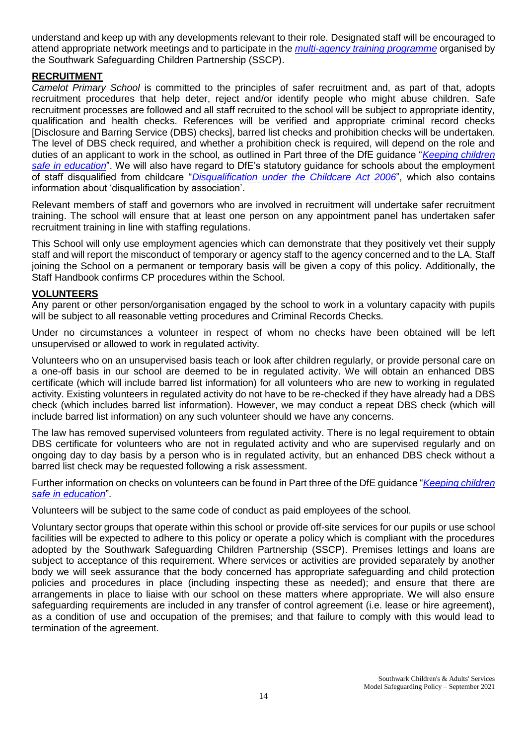understand and keep up with any developments relevant to their role. Designated staff will be encouraged to attend appropriate network meetings and to participate in the *[multi-agency training programme](http://www.mylearningsource.co.uk/category/safeguarding)* organised by the Southwark Safeguarding Children Partnership (SSCP).

#### **RECRUITMENT**

*Camelot Primary School* is committed to the principles of safer recruitment and, as part of that, adopts recruitment procedures that help deter, reject and/or identify people who might abuse children. Safe recruitment processes are followed and all staff recruited to the school will be subject to appropriate identity, qualification and health checks. References will be verified and appropriate criminal record checks [Disclosure and Barring Service (DBS) checks], barred list checks and prohibition checks will be undertaken. The level of DBS check required, and whether a prohibition check is required, will depend on the role and duties of an applicant to work in the school, as outlined in Part three of the DfE guidance "*[Keeping children](https://www.gov.uk/government/publications/keeping-children-safe-in-education--2)  [safe in education](https://www.gov.uk/government/publications/keeping-children-safe-in-education--2)*". We will also have regard to DfE's statutory guidance for schools about the employment of staff disqualified from childcare "*[Disqualification under the Childcare Act 2006](https://www.gov.uk/government/publications/disqualification-under-the-childcare-act-2006)*", which also contains information about 'disqualification by association'.

Relevant members of staff and governors who are involved in recruitment will undertake safer recruitment training. The school will ensure that at least one person on any appointment panel has undertaken safer recruitment training in line with staffing regulations.

This School will only use employment agencies which can demonstrate that they positively vet their supply staff and will report the misconduct of temporary or agency staff to the agency concerned and to the LA. Staff joining the School on a permanent or temporary basis will be given a copy of this policy. Additionally, the Staff Handbook confirms CP procedures within the School.

#### **VOLUNTEERS**

Any parent or other person/organisation engaged by the school to work in a voluntary capacity with pupils will be subject to all reasonable vetting procedures and Criminal Records Checks.

Under no circumstances a volunteer in respect of whom no checks have been obtained will be left unsupervised or allowed to work in regulated activity.

Volunteers who on an unsupervised basis teach or look after children regularly, or provide personal care on a one-off basis in our school are deemed to be in regulated activity. We will obtain an enhanced DBS certificate (which will include barred list information) for all volunteers who are new to working in regulated activity. Existing volunteers in regulated activity do not have to be re-checked if they have already had a DBS check (which includes barred list information). However, we may conduct a repeat DBS check (which will include barred list information) on any such volunteer should we have any concerns.

The law has removed supervised volunteers from regulated activity. There is no legal requirement to obtain DBS certificate for volunteers who are not in regulated activity and who are supervised regularly and on ongoing day to day basis by a person who is in regulated activity, but an enhanced DBS check without a barred list check may be requested following a risk assessment.

Further information on checks on volunteers can be found in Part three of the DfE guidance "*[Keeping children](https://www.gov.uk/government/publications/keeping-children-safe-in-education--2)  [safe in education](https://www.gov.uk/government/publications/keeping-children-safe-in-education--2)*".

Volunteers will be subject to the same code of conduct as paid employees of the school.

Voluntary sector groups that operate within this school or provide off-site services for our pupils or use school facilities will be expected to adhere to this policy or operate a policy which is compliant with the procedures adopted by the Southwark Safeguarding Children Partnership (SSCP). Premises lettings and loans are subject to acceptance of this requirement. Where services or activities are provided separately by another body we will seek assurance that the body concerned has appropriate safeguarding and child protection policies and procedures in place (including inspecting these as needed); and ensure that there are arrangements in place to liaise with our school on these matters where appropriate. We will also ensure safeguarding requirements are included in any transfer of control agreement (i.e. lease or hire agreement), as a condition of use and occupation of the premises; and that failure to comply with this would lead to termination of the agreement.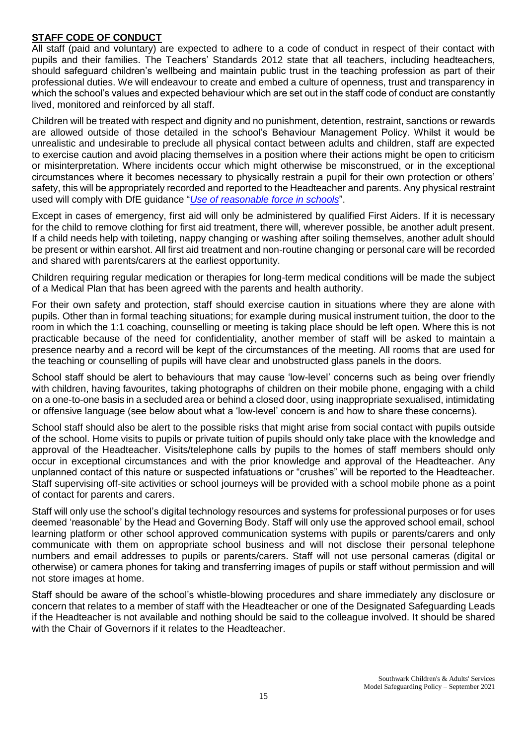## **STAFF CODE OF CONDUCT**

All staff (paid and voluntary) are expected to adhere to a code of conduct in respect of their contact with pupils and their families. The Teachers' Standards 2012 state that all teachers, including headteachers, should safeguard children's wellbeing and maintain public trust in the teaching profession as part of their professional duties. We will endeavour to create and embed a culture of openness, trust and transparency in which the school's values and expected behaviour which are set out in the staff code of conduct are constantly lived, monitored and reinforced by all staff.

Children will be treated with respect and dignity and no punishment, detention, restraint, sanctions or rewards are allowed outside of those detailed in the school's Behaviour Management Policy. Whilst it would be unrealistic and undesirable to preclude all physical contact between adults and children, staff are expected to exercise caution and avoid placing themselves in a position where their actions might be open to criticism or misinterpretation. Where incidents occur which might otherwise be misconstrued, or in the exceptional circumstances where it becomes necessary to physically restrain a pupil for their own protection or others' safety, this will be appropriately recorded and reported to the Headteacher and parents. Any physical restraint used will comply with DfE guidance "*[Use of reasonable force in schools](https://www.gov.uk/government/publications/use-of-reasonable-force-in-schools)*".

Except in cases of emergency, first aid will only be administered by qualified First Aiders. If it is necessary for the child to remove clothing for first aid treatment, there will, wherever possible, be another adult present. If a child needs help with toileting, nappy changing or washing after soiling themselves, another adult should be present or within earshot. All first aid treatment and non-routine changing or personal care will be recorded and shared with parents/carers at the earliest opportunity.

Children requiring regular medication or therapies for long-term medical conditions will be made the subject of a Medical Plan that has been agreed with the parents and health authority.

For their own safety and protection, staff should exercise caution in situations where they are alone with pupils. Other than in formal teaching situations; for example during musical instrument tuition, the door to the room in which the 1:1 coaching, counselling or meeting is taking place should be left open. Where this is not practicable because of the need for confidentiality, another member of staff will be asked to maintain a presence nearby and a record will be kept of the circumstances of the meeting. All rooms that are used for the teaching or counselling of pupils will have clear and unobstructed glass panels in the doors.

School staff should be alert to behaviours that may cause 'low-level' concerns such as being over friendly with children, having favourites, taking photographs of children on their mobile phone, engaging with a child on a one-to-one basis in a secluded area or behind a closed door, using inappropriate sexualised, intimidating or offensive language (see below about what a 'low-level' concern is and how to share these concerns).

School staff should also be alert to the possible risks that might arise from social contact with pupils outside of the school. Home visits to pupils or private tuition of pupils should only take place with the knowledge and approval of the Headteacher. Visits/telephone calls by pupils to the homes of staff members should only occur in exceptional circumstances and with the prior knowledge and approval of the Headteacher. Any unplanned contact of this nature or suspected infatuations or "crushes" will be reported to the Headteacher. Staff supervising off-site activities or school journeys will be provided with a school mobile phone as a point of contact for parents and carers.

Staff will only use the school's digital technology resources and systems for professional purposes or for uses deemed 'reasonable' by the Head and Governing Body. Staff will only use the approved school email, school learning platform or other school approved communication systems with pupils or parents/carers and only communicate with them on appropriate school business and will not disclose their personal telephone numbers and email addresses to pupils or parents/carers. Staff will not use personal cameras (digital or otherwise) or camera phones for taking and transferring images of pupils or staff without permission and will not store images at home.

Staff should be aware of the school's whistle-blowing procedures and share immediately any disclosure or concern that relates to a member of staff with the Headteacher or one of the Designated Safeguarding Leads if the Headteacher is not available and nothing should be said to the colleague involved. It should be shared with the Chair of Governors if it relates to the Headteacher.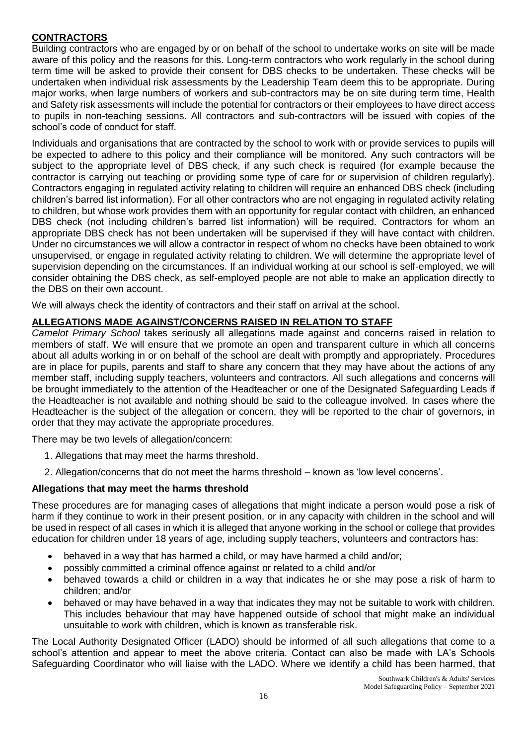## **CONTRACTORS**

Building contractors who are engaged by or on behalf of the school to undertake works on site will be made aware of this policy and the reasons for this. Long-term contractors who work regularly in the school during term time will be asked to provide their consent for DBS checks to be undertaken. These checks will be undertaken when individual risk assessments by the Leadership Team deem this to be appropriate. During major works, when large numbers of workers and sub-contractors may be on site during term time, Health and Safety risk assessments will include the potential for contractors or their employees to have direct access to pupils in non-teaching sessions. All contractors and sub-contractors will be issued with copies of the school's code of conduct for staff.

Individuals and organisations that are contracted by the school to work with or provide services to pupils will be expected to adhere to this policy and their compliance will be monitored. Any such contractors will be subject to the appropriate level of DBS check, if any such check is required (for example because the contractor is carrying out teaching or providing some type of care for or supervision of children regularly). Contractors engaging in regulated activity relating to children will require an enhanced DBS check (including children's barred list information). For all other contractors who are not engaging in regulated activity relating to children, but whose work provides them with an opportunity for regular contact with children, an enhanced DBS check (not including children's barred list information) will be required. Contractors for whom an appropriate DBS check has not been undertaken will be supervised if they will have contact with children. Under no circumstances we will allow a contractor in respect of whom no checks have been obtained to work unsupervised, or engage in regulated activity relating to children. We will determine the appropriate level of supervision depending on the circumstances. If an individual working at our school is self-employed, we will consider obtaining the DBS check, as self-employed people are not able to make an application directly to the DBS on their own account.

We will always check the identity of contractors and their staff on arrival at the school.

#### **ALLEGATIONS MADE AGAINST/CONCERNS RAISED IN RELATION TO STAFF**

*Camelot Primary School* takes seriously all allegations made against and concerns raised in relation to members of staff. We will ensure that we promote an open and transparent culture in which all concerns about all adults working in or on behalf of the school are dealt with promptly and appropriately. Procedures are in place for pupils, parents and staff to share any concern that they may have about the actions of any member staff, including supply teachers, volunteers and contractors. All such allegations and concerns will be brought immediately to the attention of the Headteacher or one of the Designated Safeguarding Leads if the Headteacher is not available and nothing should be said to the colleague involved. In cases where the Headteacher is the subject of the allegation or concern, they will be reported to the chair of governors, in order that they may activate the appropriate procedures.

There may be two levels of allegation/concern:

- 1. Allegations that may meet the harms threshold.
- 2. Allegation/concerns that do not meet the harms threshold known as 'low level concerns'.

#### **Allegations that may meet the harms threshold**

These procedures are for managing cases of allegations that might indicate a person would pose a risk of harm if they continue to work in their present position, or in any capacity with children in the school and will be used in respect of all cases in which it is alleged that anyone working in the school or college that provides education for children under 18 years of age, including supply teachers, volunteers and contractors has:

- behaved in a way that has harmed a child, or may have harmed a child and/or;
- possibly committed a criminal offence against or related to a child and/or
- behaved towards a child or children in a way that indicates he or she may pose a risk of harm to children; and/or
- behaved or may have behaved in a way that indicates they may not be suitable to work with children. This includes behaviour that may have happened outside of school that might make an individual unsuitable to work with children, which is known as transferable risk.

The Local Authority Designated Officer (LADO) should be informed of all such allegations that come to a school's attention and appear to meet the above criteria. Contact can also be made with LA's Schools Safeguarding Coordinator who will liaise with the LADO. Where we identify a child has been harmed, that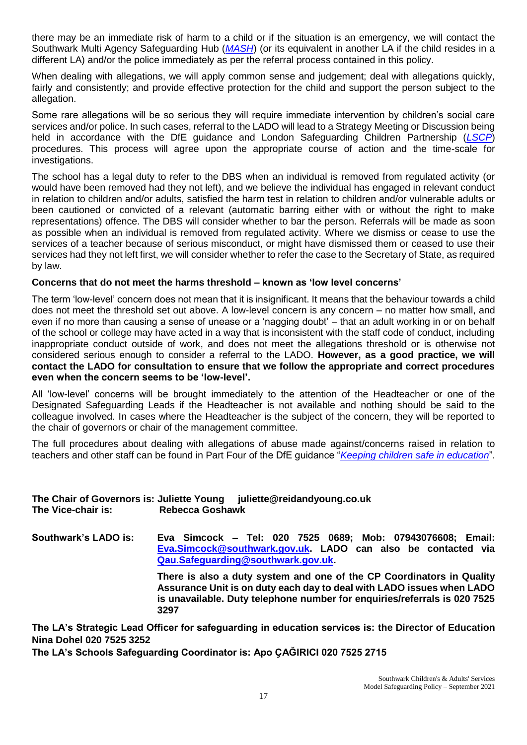there may be an immediate risk of harm to a child or if the situation is an emergency, we will contact the Southwark Multi Agency Safeguarding Hub (*[MASH](https://www.southwark.gov.uk/childcare-and-parenting/children-s-social-care/child-protection/multi-agency-safeguarding-hub-mash)*) (or its equivalent in another LA if the child resides in a different LA) and/or the police immediately as per the referral process contained in this policy.

When dealing with allegations, we will apply common sense and judgement; deal with allegations quickly, fairly and consistently; and provide effective protection for the child and support the person subject to the allegation.

Some rare allegations will be so serious they will require immediate intervention by children's social care services and/or police. In such cases, referral to the LADO will lead to a Strategy Meeting or Discussion being held in accordance with the DfE guidance and London Safeguarding Children Partnership (*[LSCP](http://www.londonscb.gov.uk/)*) procedures. This process will agree upon the appropriate course of action and the time-scale for investigations.

The school has a legal duty to refer to the DBS when an individual is removed from regulated activity (or would have been removed had they not left), and we believe the individual has engaged in relevant conduct in relation to children and/or adults, satisfied the harm test in relation to children and/or vulnerable adults or been cautioned or convicted of a relevant (automatic barring either with or without the right to make representations) offence. The DBS will consider whether to bar the person. Referrals will be made as soon as possible when an individual is removed from regulated activity. Where we dismiss or cease to use the services of a teacher because of serious misconduct, or might have dismissed them or ceased to use their services had they not left first, we will consider whether to refer the case to the Secretary of State, as required by law.

#### **Concerns that do not meet the harms threshold – known as 'low level concerns'**

The term 'low-level' concern does not mean that it is insignificant. It means that the behaviour towards a child does not meet the threshold set out above. A low-level concern is any concern – no matter how small, and even if no more than causing a sense of unease or a 'nagging doubt' – that an adult working in or on behalf of the school or college may have acted in a way that is inconsistent with the staff code of conduct, including inappropriate conduct outside of work, and does not meet the allegations threshold or is otherwise not considered serious enough to consider a referral to the LADO. **However, as a good practice, we will contact the LADO for consultation to ensure that we follow the appropriate and correct procedures even when the concern seems to be 'low-level'.**

All 'low-level' concerns will be brought immediately to the attention of the Headteacher or one of the Designated Safeguarding Leads if the Headteacher is not available and nothing should be said to the colleague involved. In cases where the Headteacher is the subject of the concern, they will be reported to the chair of governors or chair of the management committee.

The full procedures about dealing with allegations of abuse made against/concerns raised in relation to teachers and other staff can be found in Part Four of the DfE guidance "*[Keeping children safe in education](https://www.gov.uk/government/publications/keeping-children-safe-in-education--2)*".

#### **The Chair of Governors is: Juliette Young juliette@reidandyoung.co.uk The Vice-chair is: Rebecca Goshawk**

**Southwark's LADO is: Eva Simcock – Tel: 020 7525 0689; Mob: 07943076608; Email: [Eva.Simcock@southwark.gov.uk.](mailto:Eva.Simcock@southwark.gov.uk) LADO can also be contacted via [Qau.Safeguarding@southwark.gov.uk.](mailto:Qau.Safeguarding@southwark.gov.uk)**

**There is also a duty system and one of the CP Coordinators in Quality Assurance Unit is on duty each day to deal with LADO issues when LADO is unavailable. Duty telephone number for enquiries/referrals is 020 7525 3297**

**The LA's Strategic Lead Officer for safeguarding in education services is: the Director of Education Nina Dohel 020 7525 3252**

**The LA's Schools Safeguarding Coordinator is: Apo ÇAĞIRICI 020 7525 2715**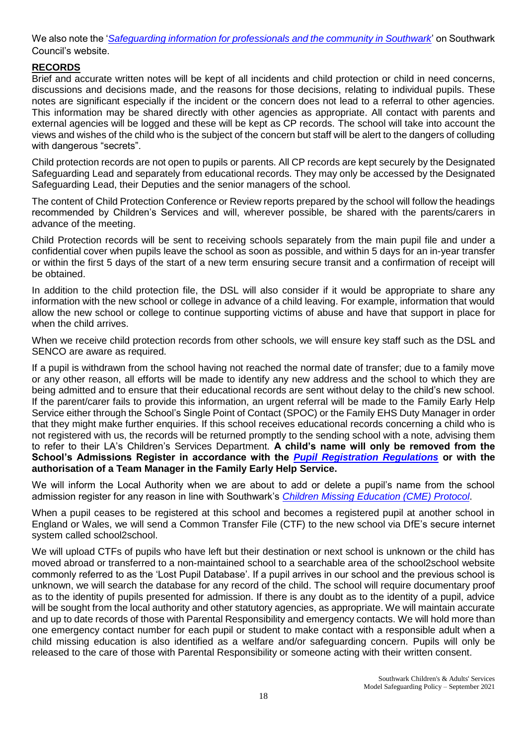We also note the '*[Safeguarding information for professionals and the community in Southwark](http://safeguarding.southwark.gov.uk/)*' on Southwark Council's website.

# **RECORDS**

Brief and accurate written notes will be kept of all incidents and child protection or child in need concerns, discussions and decisions made, and the reasons for those decisions, relating to individual pupils. These notes are significant especially if the incident or the concern does not lead to a referral to other agencies. This information may be shared directly with other agencies as appropriate. All contact with parents and external agencies will be logged and these will be kept as CP records. The school will take into account the views and wishes of the child who is the subject of the concern but staff will be alert to the dangers of colluding with dangerous "secrets".

Child protection records are not open to pupils or parents. All CP records are kept securely by the Designated Safeguarding Lead and separately from educational records. They may only be accessed by the Designated Safeguarding Lead, their Deputies and the senior managers of the school.

The content of Child Protection Conference or Review reports prepared by the school will follow the headings recommended by Children's Services and will, wherever possible, be shared with the parents/carers in advance of the meeting.

Child Protection records will be sent to receiving schools separately from the main pupil file and under a confidential cover when pupils leave the school as soon as possible, and within 5 days for an in-year transfer or within the first 5 days of the start of a new term ensuring secure transit and a confirmation of receipt will be obtained.

In addition to the child protection file, the DSL will also consider if it would be appropriate to share any information with the new school or college in advance of a child leaving. For example, information that would allow the new school or college to continue supporting victims of abuse and have that support in place for when the child arrives.

When we receive child protection records from other schools, we will ensure key staff such as the DSL and SENCO are aware as required.

If a pupil is withdrawn from the school having not reached the normal date of transfer; due to a family move or any other reason, all efforts will be made to identify any new address and the school to which they are being admitted and to ensure that their educational records are sent without delay to the child's new school. If the parent/carer fails to provide this information, an urgent referral will be made to the Family Early Help Service either through the School's Single Point of Contact (SPOC) or the Family EHS Duty Manager in order that they might make further enquiries. If this school receives educational records concerning a child who is not registered with us, the records will be returned promptly to the sending school with a note, advising them to refer to their LA's Children's Services Department. **A child's name will only be removed from the School's Admissions Register in accordance with the** *[Pupil Registration Regulations](https://www.gov.uk/government/publications/school-attendance)* **or with the authorisation of a Team Manager in the Family Early Help Service.**

We will inform the Local Authority when we are about to add or delete a pupil's name from the school admission register for any reason in line with Southwark's *[Children Missing Education \(CME\) Protocol](https://safeguarding.southwark.gov.uk/assets/files/434/CME-protocol-Feb-17.pdf)*.

When a pupil ceases to be registered at this school and becomes a registered pupil at another school in England or Wales, we will send a Common Transfer File (CTF) to the new school via DfE's secure internet system called school2school.

We will upload CTFs of pupils who have left but their destination or next school is unknown or the child has moved abroad or transferred to a non-maintained school to a searchable area of the school2school website commonly referred to as the 'Lost Pupil Database'. If a pupil arrives in our school and the previous school is unknown, we will search the database for any record of the child. The school will require documentary proof as to the identity of pupils presented for admission. If there is any doubt as to the identity of a pupil, advice will be sought from the local authority and other statutory agencies, as appropriate. We will maintain accurate and up to date records of those with Parental Responsibility and emergency contacts. We will hold more than one emergency contact number for each pupil or student to make contact with a responsible adult when a child missing education is also identified as a welfare and/or safeguarding concern. Pupils will only be released to the care of those with Parental Responsibility or someone acting with their written consent.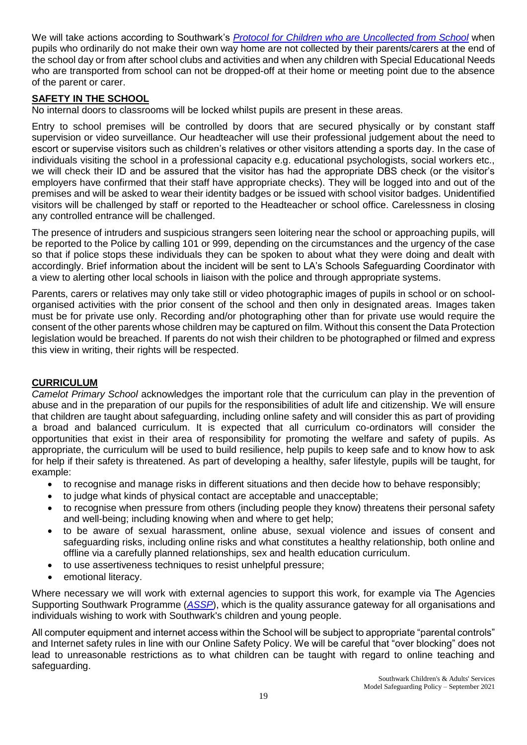We will take actions according to Southwark's *Protocol [for Children who are Uncollected from School](https://southwark.proceduresonline.com/chapters/pr_child_not_collect_school.htm)* when pupils who ordinarily do not make their own way home are not collected by their parents/carers at the end of the school day or from after school clubs and activities and when any children with Special Educational Needs who are transported from school can not be dropped-off at their home or meeting point due to the absence of the parent or carer.

## **SAFETY IN THE SCHOOL**

No internal doors to classrooms will be locked whilst pupils are present in these areas.

Entry to school premises will be controlled by doors that are secured physically or by constant staff supervision or video surveillance. Our headteacher will use their professional judgement about the need to escort or supervise visitors such as children's relatives or other visitors attending a sports day. In the case of individuals visiting the school in a professional capacity e.g. educational psychologists, social workers etc., we will check their ID and be assured that the visitor has had the appropriate DBS check (or the visitor's employers have confirmed that their staff have appropriate checks). They will be logged into and out of the premises and will be asked to wear their identity badges or be issued with school visitor badges. Unidentified visitors will be challenged by staff or reported to the Headteacher or school office. Carelessness in closing any controlled entrance will be challenged.

The presence of intruders and suspicious strangers seen loitering near the school or approaching pupils, will be reported to the Police by calling 101 or 999, depending on the circumstances and the urgency of the case so that if police stops these individuals they can be spoken to about what they were doing and dealt with accordingly. Brief information about the incident will be sent to LA's Schools Safeguarding Coordinator with a view to alerting other local schools in liaison with the police and through appropriate systems.

Parents, carers or relatives may only take still or video photographic images of pupils in school or on schoolorganised activities with the prior consent of the school and then only in designated areas. Images taken must be for private use only. Recording and/or photographing other than for private use would require the consent of the other parents whose children may be captured on film. Without this consent the Data Protection legislation would be breached. If parents do not wish their children to be photographed or filmed and express this view in writing, their rights will be respected.

## **CURRICULUM**

*Camelot Primary School* acknowledges the important role that the curriculum can play in the prevention of abuse and in the preparation of our pupils for the responsibilities of adult life and citizenship. We will ensure that children are taught about safeguarding, including online safety and will consider this as part of providing a broad and balanced curriculum. It is expected that all curriculum co-ordinators will consider the opportunities that exist in their area of responsibility for promoting the welfare and safety of pupils. As appropriate, the curriculum will be used to build resilience, help pupils to keep safe and to know how to ask for help if their safety is threatened. As part of developing a healthy, safer lifestyle, pupils will be taught, for example:

- to recognise and manage risks in different situations and then decide how to behave responsibly;
- to judge what kinds of physical contact are acceptable and unacceptable;
- to recognise when pressure from others (including people they know) threatens their personal safety and well-being; including knowing when and where to get help;
- to be aware of sexual harassment, online abuse, sexual violence and issues of consent and safeguarding risks, including online risks and what constitutes a healthy relationship, both online and offline via a carefully planned relationships, sex and health education curriculum.
- to use assertiveness techniques to resist unhelpful pressure;
- emotional literacy.

Where necessary we will work with external agencies to support this work, for example via The Agencies Supporting Southwark Programme (*[ASSP](https://www.southwark.gov.uk/childcare-and-parenting/children-s-social-care/child-protection/agencies-supporting-southwark-programme-assp)*), which is the quality assurance gateway for all organisations and individuals wishing to work with Southwark's children and young people.

All computer equipment and internet access within the School will be subject to appropriate "parental controls" and Internet safety rules in line with our Online Safety Policy. We will be careful that "over blocking" does not lead to unreasonable restrictions as to what children can be taught with regard to online teaching and safeguarding.